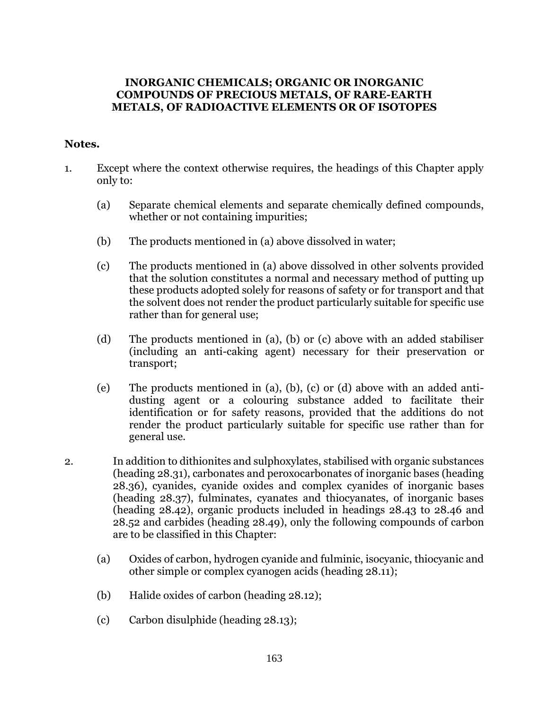## **INORGANIC CHEMICALS; ORGANIC OR INORGANIC COMPOUNDS OF PRECIOUS METALS, OF RARE-EARTH METALS, OF RADIOACTIVE ELEMENTS OR OF ISOTOPES**

## **Notes.**

- 1. Except where the context otherwise requires, the headings of this Chapter apply only to:
	- (a) Separate chemical elements and separate chemically defined compounds, whether or not containing impurities;
	- (b) The products mentioned in (a) above dissolved in water;
	- (c) The products mentioned in (a) above dissolved in other solvents provided that the solution constitutes a normal and necessary method of putting up these products adopted solely for reasons of safety or for transport and that the solvent does not render the product particularly suitable for specific use rather than for general use;
	- (d) The products mentioned in (a), (b) or (c) above with an added stabiliser (including an anti-caking agent) necessary for their preservation or transport;
	- (e) The products mentioned in (a), (b), (c) or (d) above with an added antidusting agent or a colouring substance added to facilitate their identification or for safety reasons, provided that the additions do not render the product particularly suitable for specific use rather than for general use.
- 2. In addition to dithionites and sulphoxylates, stabilised with organic substances (heading 28.31), carbonates and peroxocarbonates of inorganic bases (heading 28.36), cyanides, cyanide oxides and complex cyanides of inorganic bases (heading 28.37), fulminates, cyanates and thiocyanates, of inorganic bases (heading 28.42), organic products included in headings 28.43 to 28.46 and 28.52 and carbides (heading 28.49), only the following compounds of carbon are to be classified in this Chapter:
	- (a) Oxides of carbon, hydrogen cyanide and fulminic, isocyanic, thiocyanic and other simple or complex cyanogen acids (heading 28.11);
	- (b) Halide oxides of carbon (heading 28.12);
	- (c) Carbon disulphide (heading 28.13);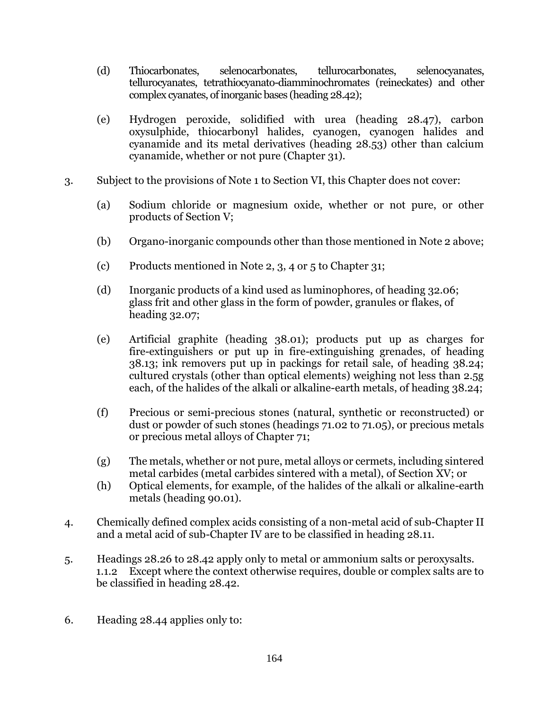- (d) Thiocarbonates, selenocarbonates, tellurocarbonates, selenocyanates, tellurocyanates, tetrathiocyanato-diamminochromates (reineckates) and other complex cyanates, of inorganic bases (heading 28.42);
- (e) Hydrogen peroxide, solidified with urea (heading 28.47), carbon oxysulphide, thiocarbonyl halides, cyanogen, cyanogen halides and cyanamide and its metal derivatives (heading 28.53) other than calcium cyanamide, whether or not pure (Chapter 31).
- 3. Subject to the provisions of Note 1 to Section VI, this Chapter does not cover:
	- (a) Sodium chloride or magnesium oxide, whether or not pure, or other products of Section V;
	- (b) Organo-inorganic compounds other than those mentioned in Note 2 above;
	- (c) Products mentioned in Note 2, 3, 4 or 5 to Chapter 31;
	- (d) Inorganic products of a kind used as luminophores, of heading 32.06; glass frit and other glass in the form of powder, granules or flakes, of heading 32.07;
	- (e) Artificial graphite (heading 38.01); products put up as charges for fire-extinguishers or put up in fire-extinguishing grenades, of heading 38.13; ink removers put up in packings for retail sale, of heading 38.24; cultured crystals (other than optical elements) weighing not less than 2.5g each, of the halides of the alkali or alkaline-earth metals, of heading 38.24;
	- (f) Precious or semi-precious stones (natural, synthetic or reconstructed) or dust or powder of such stones (headings 71.02 to 71.05), or precious metals or precious metal alloys of Chapter 71;
	- (g) The metals, whether or not pure, metal alloys or cermets, including sintered metal carbides (metal carbides sintered with a metal), of Section XV; or
	- (h) Optical elements, for example, of the halides of the alkali or alkaline-earth metals (heading 90.01).
- 4. Chemically defined complex acids consisting of a non-metal acid of sub-Chapter II and a metal acid of sub-Chapter IV are to be classified in heading 28.11.
- 5. Headings 28.26 to 28.42 apply only to metal or ammonium salts or peroxysalts. 1.1.2 Except where the context otherwise requires, double or complex salts are to be classified in heading 28.42.
- 6. Heading 28.44 applies only to: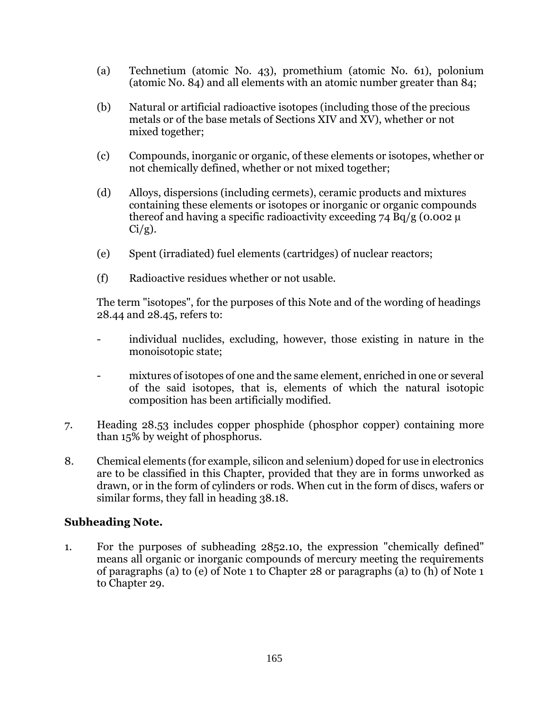- (a) Technetium (atomic No. 43), promethium (atomic No. 61), polonium (atomic No. 84) and all elements with an atomic number greater than 84;
- (b) Natural or artificial radioactive isotopes (including those of the precious metals or of the base metals of Sections XIV and XV), whether or not mixed together;
- (c) Compounds, inorganic or organic, of these elements or isotopes, whether or not chemically defined, whether or not mixed together;
- (d) Alloys, dispersions (including cermets), ceramic products and mixtures containing these elements or isotopes or inorganic or organic compounds thereof and having a specific radioactivity exceeding 74 Bq/g (0.002  $\mu$ )  $Ci/g$ ).
- (e) Spent (irradiated) fuel elements (cartridges) of nuclear reactors;
- (f) Radioactive residues whether or not usable.

The term "isotopes", for the purposes of this Note and of the wording of headings 28.44 and 28.45, refers to:

- individual nuclides, excluding, however, those existing in nature in the monoisotopic state;
- mixtures of isotopes of one and the same element, enriched in one or several of the said isotopes, that is, elements of which the natural isotopic composition has been artificially modified.
- 7. Heading 28.53 includes copper phosphide (phosphor copper) containing more than 15% by weight of phosphorus.
- 8. Chemical elements (for example, silicon and selenium) doped for use in electronics are to be classified in this Chapter, provided that they are in forms unworked as drawn, or in the form of cylinders or rods. When cut in the form of discs, wafers or similar forms, they fall in heading 38.18.

## **Subheading Note.**

1. For the purposes of subheading 2852.10, the expression "chemically defined" means all organic or inorganic compounds of mercury meeting the requirements of paragraphs (a) to (e) of Note 1 to Chapter 28 or paragraphs (a) to (h) of Note 1 to Chapter 29.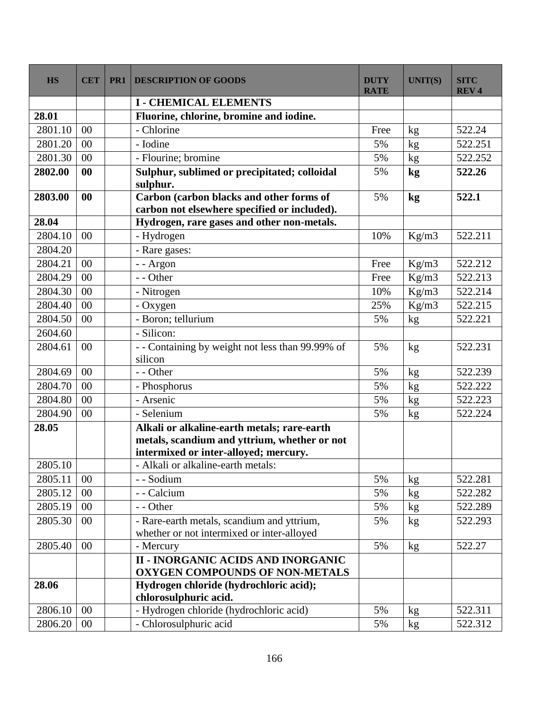| <b>HS</b> | <b>CET</b> | PR <sub>1</sub> | <b>DESCRIPTION OF GOODS</b>                                                              | <b>DUTY</b><br><b>RATE</b> | <b>UNIT(S)</b> | <b>SITC</b><br><b>REV4</b> |
|-----------|------------|-----------------|------------------------------------------------------------------------------------------|----------------------------|----------------|----------------------------|
|           |            |                 | <b>I - CHEMICAL ELEMENTS</b>                                                             |                            |                |                            |
| 28.01     |            |                 | Fluorine, chlorine, bromine and iodine.                                                  |                            |                |                            |
| 2801.10   | 00         |                 | - Chlorine                                                                               | Free                       | kg             | 522.24                     |
| 2801.20   | 00         |                 | - Iodine                                                                                 | 5%                         | kg             | 522.251                    |
| 2801.30   | 00         |                 | - Flourine; bromine                                                                      | 5%                         | kg             | 522.252                    |
| 2802.00   | 00         |                 | Sulphur, sublimed or precipitated; colloidal<br>sulphur.                                 | 5%                         | kg             | 522.26                     |
| 2803.00   | $\bf{00}$  |                 | Carbon (carbon blacks and other forms of<br>carbon not elsewhere specified or included). | 5%                         | kg             | 522.1                      |
| 28.04     |            |                 | Hydrogen, rare gases and other non-metals.                                               |                            |                |                            |
| 2804.10   | 00         |                 | - Hydrogen                                                                               | 10%                        | Kg/m3          | 522.211                    |
| 2804.20   |            |                 | - Rare gases:                                                                            |                            |                |                            |
| 2804.21   | 00         |                 | - - Argon                                                                                | Free                       | Kg/m3          | 522.212                    |
| 2804.29   | 00         |                 | - - Other                                                                                | Free                       | Kg/m3          | 522.213                    |
| 2804.30   | 00         |                 | - Nitrogen                                                                               | 10%                        | Kg/m3          | 522.214                    |
| 2804.40   | 00         |                 | - Oxygen                                                                                 | 25%                        | Kg/m3          | 522.215                    |
| 2804.50   | 00         |                 | - Boron; tellurium                                                                       | 5%                         | kg             | 522.221                    |
| 2604.60   |            |                 | - Silicon:                                                                               |                            |                |                            |
| 2804.61   | 00         |                 | - - Containing by weight not less than 99.99% of<br>silicon                              | 5%                         | kg             | 522.231                    |
| 2804.69   | 00         |                 | - - Other                                                                                | 5%                         | $\mathrm{kg}$  | 522.239                    |
| 2804.70   | 00         |                 | - Phosphorus                                                                             | 5%                         | kg             | 522.222                    |
| 2804.80   | 00         |                 | - Arsenic                                                                                | 5%                         | kg             | 522.223                    |
| 2804.90   | 00         |                 | - Selenium                                                                               | 5%                         | kg             | 522.224                    |
| 28.05     |            |                 | Alkali or alkaline-earth metals; rare-earth                                              |                            |                |                            |
|           |            |                 | metals, scandium and yttrium, whether or not                                             |                            |                |                            |
|           |            |                 | intermixed or inter-alloyed; mercury.                                                    |                            |                |                            |
| 2805.10   |            |                 | - Alkali or alkaline-earth metals:                                                       |                            |                |                            |
| 2805.11   | 00         |                 | - - Sodium                                                                               | 5%                         | kg             | 522.281                    |
| 2805.12   | 00         |                 | $\overline{-}$ Calcium                                                                   | 5%                         | kg             | 522.282                    |
| 2805.19   | $00\,$     |                 | - - Other                                                                                | 5%                         | kg             | 522.289                    |
| 2805.30   | 00         |                 | - Rare-earth metals, scandium and yttrium,<br>whether or not intermixed or inter-alloyed | 5%                         | kg             | 522.293                    |
| 2805.40   | $00\,$     |                 | - Mercury                                                                                | 5%                         | kg             | 522.27                     |
|           |            |                 | <b>II - INORGANIC ACIDS AND INORGANIC</b>                                                |                            |                |                            |
|           |            |                 | <b>OXYGEN COMPOUNDS OF NON-METALS</b>                                                    |                            |                |                            |
| 28.06     |            |                 | Hydrogen chloride (hydrochloric acid);                                                   |                            |                |                            |
|           |            |                 | chlorosulphuric acid.                                                                    |                            |                |                            |
| 2806.10   | $00\,$     |                 | - Hydrogen chloride (hydrochloric acid)                                                  | 5%                         | kg             | 522.311                    |
| 2806.20   | 00         |                 | - Chlorosulphuric acid                                                                   | 5%                         | kg             | 522.312                    |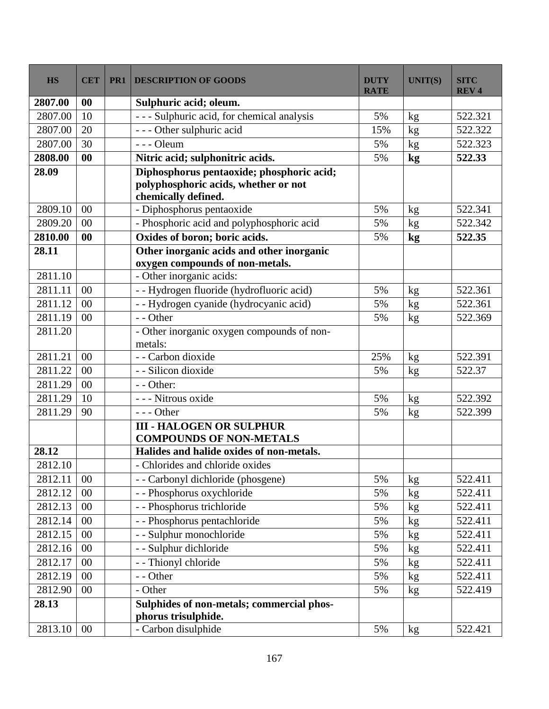| <b>HS</b> | <b>CET</b>     | PR <sub>1</sub> | <b>DESCRIPTION OF GOODS</b>                                                                              | <b>DUTY</b><br><b>RATE</b> | <b>UNIT(S)</b> | <b>SITC</b><br><b>REV4</b> |
|-----------|----------------|-----------------|----------------------------------------------------------------------------------------------------------|----------------------------|----------------|----------------------------|
| 2807.00   | 00             |                 | Sulphuric acid; oleum.                                                                                   |                            |                |                            |
| 2807.00   | 10             |                 | - - - Sulphuric acid, for chemical analysis                                                              | 5%                         | kg             | 522.321                    |
| 2807.00   | 20             |                 | - - - Other sulphuric acid                                                                               | 15%                        | kg             | 522.322                    |
| 2807.00   | 30             |                 | $- -$ Oleum                                                                                              | 5%                         | kg             | 522.323                    |
| 2808.00   | 00             |                 | Nitric acid; sulphonitric acids.                                                                         | 5%                         | kg             | 522.33                     |
| 28.09     |                |                 | Diphosphorus pentaoxide; phosphoric acid;<br>polyphosphoric acids, whether or not<br>chemically defined. |                            |                |                            |
| 2809.10   | 0 <sup>0</sup> |                 | - Diphosphorus pentaoxide                                                                                | 5%                         | kg             | 522.341                    |
| 2809.20   | 00             |                 | - Phosphoric acid and polyphosphoric acid                                                                | 5%                         | kg             | 522.342                    |
| 2810.00   | 00             |                 | Oxides of boron; boric acids.                                                                            | 5%                         | kg             | 522.35                     |
| 28.11     |                |                 | Other inorganic acids and other inorganic                                                                |                            |                |                            |
|           |                |                 | oxygen compounds of non-metals.                                                                          |                            |                |                            |
| 2811.10   |                |                 | - Other inorganic acids:                                                                                 |                            |                |                            |
| 2811.11   | 00             |                 | - - Hydrogen fluoride (hydrofluoric acid)                                                                | 5%                         | kg             | 522.361                    |
| 2811.12   | 00             |                 | - - Hydrogen cyanide (hydrocyanic acid)                                                                  | 5%                         | kg             | 522.361                    |
| 2811.19   | 00             |                 | - - Other                                                                                                | 5%                         | kg             | 522.369                    |
| 2811.20   |                |                 | - Other inorganic oxygen compounds of non-<br>metals:                                                    |                            |                |                            |
| 2811.21   | 00             |                 | - - Carbon dioxide                                                                                       | 25%                        | $\mathrm{kg}$  | 522.391                    |
| 2811.22   | 00             |                 | - - Silicon dioxide                                                                                      | 5%                         | kg             | 522.37                     |
| 2811.29   | 00             |                 | - - Other:                                                                                               |                            |                |                            |
| 2811.29   | 10             |                 | - - - Nitrous oxide                                                                                      | 5%                         | kg             | 522.392                    |
| 2811.29   | 90             |                 | $--$ Other                                                                                               | 5%                         | kg             | 522.399                    |
|           |                |                 | <b>III - HALOGEN OR SULPHUR</b><br><b>COMPOUNDS OF NON-METALS</b>                                        |                            |                |                            |
| 28.12     |                |                 | Halides and halide oxides of non-metals.                                                                 |                            |                |                            |
| 2812.10   |                |                 | - Chlorides and chloride oxides                                                                          |                            |                |                            |
| 2812.11   | $00\,$         |                 | - - Carbonyl dichloride (phosgene)                                                                       | 5%                         | kg             | 522.411                    |
| 2812.12   | 00             |                 | - - Phosphorus oxychloride                                                                               | 5%                         | kg             | 522.411                    |
| 2812.13   | 00             |                 | - - Phosphorus trichloride                                                                               | 5%                         | kg             | 522.411                    |
| 2812.14   | 00             |                 | - - Phosphorus pentachloride                                                                             | 5%                         | kg             | 522.411                    |
| 2812.15   | 00             |                 | - - Sulphur monochloride                                                                                 | 5%                         | kg             | 522.411                    |
| 2812.16   | 00             |                 | - - Sulphur dichloride                                                                                   | 5%                         | kg             | 522.411                    |
| 2812.17   | $00\,$         |                 | - - Thionyl chloride                                                                                     | 5%                         | kg             | 522.411                    |
| 2812.19   | 00             |                 | - - Other                                                                                                | 5%                         | kg             | 522.411                    |
| 2812.90   | 00             |                 | - Other                                                                                                  | 5%                         | kg             | 522.419                    |
| 28.13     |                |                 | Sulphides of non-metals; commercial phos-<br>phorus trisulphide.                                         |                            |                |                            |
| 2813.10   | $00\,$         |                 | - Carbon disulphide                                                                                      | 5%                         | kg             | 522.421                    |